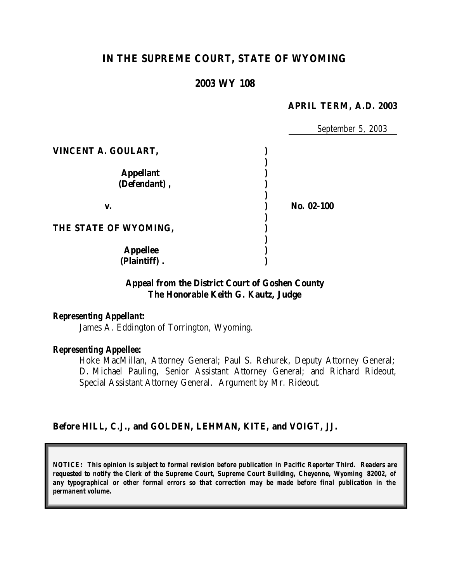# **IN THE SUPREME COURT, STATE OF WYOMING**

## **2003 WY 108**

#### **APRIL TERM, A.D. 2003**

|                                  | September 5, 2003 |
|----------------------------------|-------------------|
| VINCENT A. GOULART,              |                   |
| <b>Appellant</b><br>(Defendant), |                   |
| V.                               | No. 02-100        |
| THE STATE OF WYOMING,            |                   |
| <b>Appellee</b><br>(Plaintiff).  |                   |

## **Appeal from the District Court of Goshen County The Honorable Keith G. Kautz, Judge**

#### *Representing Appellant:*

James A. Eddington of Torrington, Wyoming.

#### *Representing Appellee:*

Hoke MacMillan, Attorney General; Paul S. Rehurek, Deputy Attorney General; D. Michael Pauling, Senior Assistant Attorney General; and Richard Rideout, Special Assistant Attorney General. Argument by Mr. Rideout.

#### **Before HILL, C.J., and GOLDEN, LEHMAN, KITE, and VOIGT, JJ.**

*NOTICE: This opinion is subject to formal revision before publication in Pacific Reporter Third. Readers are requested to notify the Clerk of the Supreme Court, Supreme Court Building, Cheyenne, Wyoming 82002, of any typographical or other formal errors so that correction may be made before final publication in the permanent volume.*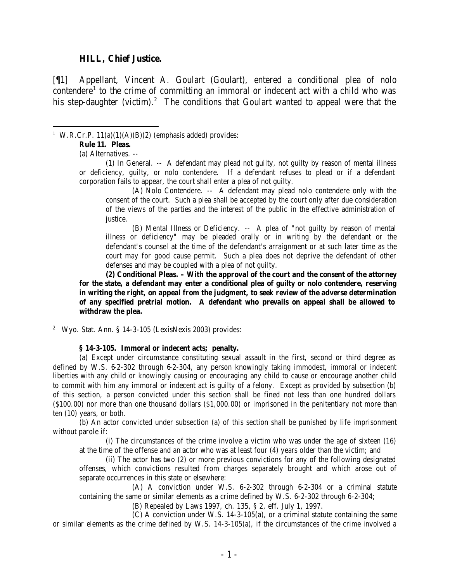#### **HILL, Chief Justice.**

[¶1] Appellant, Vincent A. Goulart (Goulart), entered a conditional plea of nolo contendere<sup>1</sup> to the crime of committing an immoral or indecent act with a child who was his step-daughter (victim).<sup>2</sup> The conditions that Goulart wanted to appeal were that the

 <sup>1</sup> W.R.Cr.P.  $11(a)(1)(A)(B)(2)$  (emphasis added) provides:

#### **Rule 11. Pleas.**

(a) Alternatives. --

(1) In General. -- A defendant may plead not guilty, not guilty by reason of mental illness or deficiency, guilty, or nolo contendere. If a defendant refuses to plead or if a defendant corporation fails to appear, the court shall enter a plea of not guilty.

(A) Nolo Contendere. -- A defendant may plead nolo contendere only with the consent of the court. Such a plea shall be accepted by the court only after due consideration of the views of the parties and the interest of the public in the effective administration of justice.

(B) Mental Illness or Deficiency. -- A plea of "not guilty by reason of mental illness or deficiency" may be pleaded orally or in writing by the defendant or the defendant's counsel at the time of the defendant's arraignment or at such later time as the court may for good cause permit. Such a plea does not deprive the defendant of other defenses and may be coupled with a plea of not guilty.

**(2) Conditional Pleas. – With the approval of the court and the consent of the attorney for the state, a defendant may enter a conditional plea of guilty or nolo contendere, reserving in writing the right, on appeal from the judgment, to seek review of the adverse determination of any specified pretrial motion. A defendant who prevails on appeal shall be allowed to withdraw the plea.**

<sup>2</sup> Wyo. Stat. Ann. § 14-3-105 (LexisNexis 2003) provides:

#### **§ 14-3-105. Immoral or indecent acts; penalty.**

(a) Except under circumstance constituting sexual assault in the first, second or third degree as defined by W.S. 6-2-302 through 6-2-304, any person knowingly taking immodest, immoral or indecent liberties with any child or knowingly causing or encouraging any child to cause or encourage another child to commit with him any immoral or indecent act is guilty of a felony. Except as provided by subsection (b) of this section, a person convicted under this section shall be fined not less than one hundred dollars (\$100.00) nor more than one thousand dollars (\$1,000.00) or imprisoned in the penitentiary not more than ten (10) years, or both.

(b) An actor convicted under subsection (a) of this section shall be punished by life imprisonment without parole if:

(i) The circumstances of the crime involve a victim who was under the age of sixteen (16) at the time of the offense and an actor who was at least four (4) years older than the victim; and

(ii) The actor has two (2) or more previous convictions for any of the following designated offenses, which convictions resulted from charges separately brought and which arose out of separate occurrences in this state or elsewhere:

(A) A conviction under W.S. 6-2-302 through 6-2-304 or a criminal statute containing the same or similar elements as a crime defined by W.S. 6-2-302 through 6-2-304;

(B) Repealed by Laws 1997, ch. 135, § 2, eff. July 1, 1997.

(C) A conviction under W.S. 14-3-105(a), or a criminal statute containing the same or similar elements as the crime defined by W.S. 14-3-105(a), if the circumstances of the crime involved a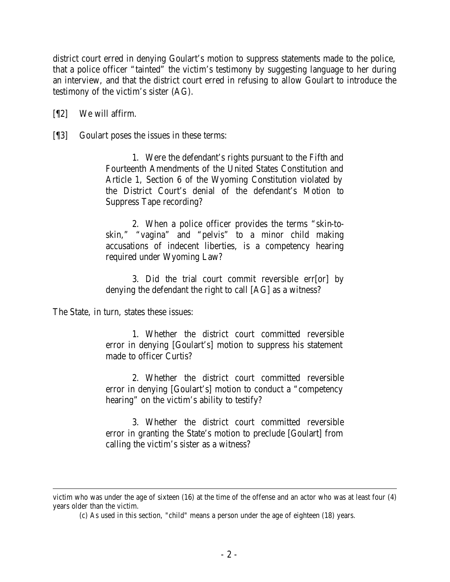district court erred in denying Goulart's motion to suppress statements made to the police, that a police officer "tainted" the victim's testimony by suggesting language to her during an interview, and that the district court erred in refusing to allow Goulart to introduce the testimony of the victim's sister (AG).

[¶2] We will affirm.

[¶3] Goulart poses the issues in these terms:

1. Were the defendant's rights pursuant to the Fifth and Fourteenth Amendments of the United States Constitution and Article 1, Section 6 of the Wyoming Constitution violated by the District Court's denial of the defendant's Motion to Suppress Tape recording?

2. When a police officer provides the terms "skin-toskin," "vagina" and "pelvis" to a minor child making accusations of indecent liberties, is a competency hearing required under Wyoming Law?

3. Did the trial court commit reversible err[or] by denying the defendant the right to call [AG] as a witness?

The State, in turn, states these issues:

1. Whether the district court committed reversible error in denying [Goulart's] motion to suppress his statement made to officer Curtis?

2. Whether the district court committed reversible error in denying [Goulart's] motion to conduct a "competency hearing" on the victim's ability to testify?

3. Whether the district court committed reversible error in granting the State's motion to preclude [Goulart] from calling the victim's sister as a witness?

 victim who was under the age of sixteen (16) at the time of the offense and an actor who was at least four (4) years older than the victim.

<sup>(</sup>c) As used in this section, "child" means a person under the age of eighteen (18) years.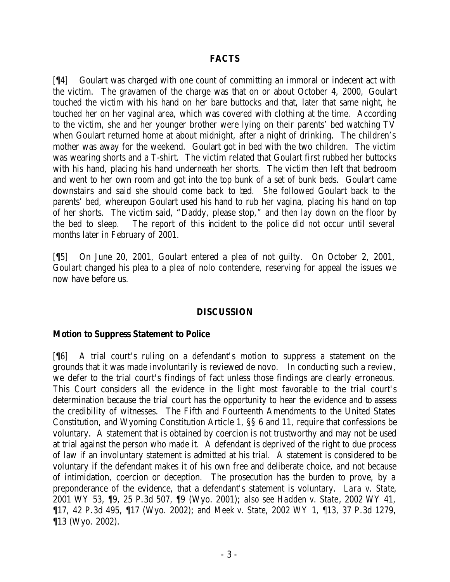## **FACTS**

[¶4] Goulart was charged with one count of committing an immoral or indecent act with the victim. The gravamen of the charge was that on or about October 4, 2000, Goulart touched the victim with his hand on her bare buttocks and that, later that same night, he touched her on her vaginal area, which was covered with clothing at the time. According to the victim, she and her younger brother were lying on their parents' bed watching TV when Goulart returned home at about midnight, after a night of drinking. The children's mother was away for the weekend. Goulart got in bed with the two children. The victim was wearing shorts and a T-shirt. The victim related that Goulart first rubbed her buttocks with his hand, placing his hand underneath her shorts. The victim then left that bedroom and went to her own room and got into the top bunk of a set of bunk beds. Goulart came downstairs and said she should come back to bed. She followed Goulart back to the parents' bed, whereupon Goulart used his hand to rub her vagina, placing his hand on top of her shorts. The victim said, "Daddy, please stop," and then lay down on the floor by the bed to sleep. The report of this incident to the police did not occur until several months later in February of 2001.

[¶5] On June 20, 2001, Goulart entered a plea of not guilty. On October 2, 2001, Goulart changed his plea to a plea of nolo contendere, reserving for appeal the issues we now have before us.

## **DISCUSSION**

## **Motion to Suppress Statement to Police**

[¶6] A trial court's ruling on a defendant's motion to suppress a statement on the grounds that it was made involuntarily is reviewed de novo. In conducting such a review, we defer to the trial court's findings of fact unless those findings are clearly erroneous. This Court considers all the evidence in the light most favorable to the trial court's determination because the trial court has the opportunity to hear the evidence and to assess the credibility of witnesses. The Fifth and Fourteenth Amendments to the United States Constitution, and Wyoming Constitution Article 1, §§ 6 and 11, require that confessions be voluntary. A statement that is obtained by coercion is not trustworthy and may not be used at trial against the person who made it. A defendant is deprived of the right to due process of law if an involuntary statement is admitted at his trial. A statement is considered to be voluntary if the defendant makes it of his own free and deliberate choice, and not because of intimidation, coercion or deception. The prosecution has the burden to prove, by a preponderance of the evidence, that a defendant's statement is voluntary. *Lara v. State*, 2001 WY 53, ¶9, 25 P.3d 507, ¶9 (Wyo. 2001); *also see Hadden v. State*, 2002 WY 41, ¶17, 42 P.3d 495, ¶17 (Wyo. 2002); and *Meek v. State*, 2002 WY 1, ¶13, 37 P.3d 1279, ¶13 (Wyo. 2002).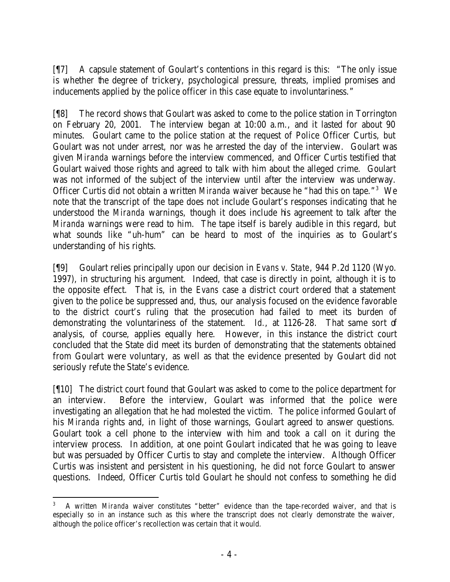[¶7] A capsule statement of Goulart's contentions in this regard is this: "The only issue is whether the degree of trickery, psychological pressure, threats, implied promises and inducements applied by the police officer in this case equate to involuntariness."

[¶8] The record shows that Goulart was asked to come to the police station in Torrington on February 20, 2001. The interview began at 10:00 a.m., and it lasted for about 90 minutes. Goulart came to the police station at the request of Police Officer Curtis, but Goulart was not under arrest, nor was he arrested the day of the interview. Goulart was given *Miranda* warnings before the interview commenced, and Officer Curtis testified that Goulart waived those rights and agreed to talk with him about the alleged crime. Goulart was not informed of the subject of the interview until after the interview was underway. Officer Curtis did not obtain a written *Miranda* waiver because he "had this on tape."<sup>3</sup> We note that the transcript of the tape does not include Goulart's responses indicating that he understood the *Miranda* warnings, though it does include his agreement to talk after the *Miranda* warnings were read to him. The tape itself is barely audible in this regard, but what sounds like "uh-hum" can be heard to most of the inquiries as to Goulart's understanding of his rights.

[¶9] Goulart relies principally upon our decision in *Evans v. State*, 944 P.2d 1120 (Wyo. 1997), in structuring his argument. Indeed, that case is directly in point, although it is to the opposite effect. That is, in the *Evans* case a district court ordered that a statement given to the police be suppressed and, thus, our analysis focused on the evidence favorable to the district court's ruling that the prosecution had failed to meet its burden of demonstrating the voluntariness of the statement. *Id.*, at 1126-28. That same sort of analysis, of course, applies equally here. However, in this instance the district court concluded that the State did meet its burden of demonstrating that the statements obtained from Goulart were voluntary, as well as that the evidence presented by Goulart did not seriously refute the State's evidence.

[¶10] The district court found that Goulart was asked to come to the police department for an interview. Before the interview, Goulart was informed that the police were investigating an allegation that he had molested the victim. The police informed Goulart of his *Miranda* rights and, in light of those warnings, Goulart agreed to answer questions. Goulart took a cell phone to the interview with him and took a call on it during the interview process. In addition, at one point Goulart indicated that he was going to leave but was persuaded by Officer Curtis to stay and complete the interview. Although Officer Curtis was insistent and persistent in his questioning, he did not force Goulart to answer questions. Indeed, Officer Curtis told Goulart he should not confess to something he did

 3 A written *Miranda* waiver constitutes "better" evidence than the tape-recorded waiver, and that is especially so in an instance such as this where the transcript does not clearly demonstrate the waiver, although the police officer's recollection was certain that it would.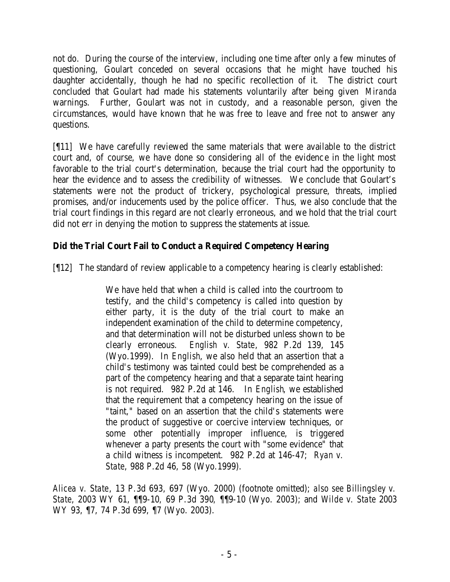not do. During the course of the interview, including one time after only a few minutes of questioning, Goulart conceded on several occasions that he might have touched his daughter accidentally, though he had no specific recollection of it. The district court concluded that Goulart had made his statements voluntarily after being given *Miranda* warnings. Further, Goulart was not in custody, and a reasonable person, given the circumstances, would have known that he was free to leave and free not to answer any questions.

[¶11] We have carefully reviewed the same materials that were available to the district court and, of course, we have done so considering all of the evidenc e in the light most favorable to the trial court's determination, because the trial court had the opportunity to hear the evidence and to assess the credibility of witnesses. We conclude that Goulart's statements were not the product of trickery, psychological pressure, threats, implied promises, and/or inducements used by the police officer. Thus, we also conclude that the trial court findings in this regard are not clearly erroneous, and we hold that the trial court did not err in denying the motion to suppress the statements at issue.

## **Did the Trial Court Fail to Conduct a Required Competency Hearing**

[¶12] The standard of review applicable to a competency hearing is clearly established:

We have held that when a child is called into the courtroom to testify, and the child's competency is called into question by either party, it is the duty of the trial court to make an independent examination of the child to determine competency, and that determination will not be disturbed unless shown to be clearly erroneous. *English v. State*, 982 P.2d 139, 145 (Wyo.1999). In *English*, we also held that an assertion that a child's testimony was tainted could best be comprehended as a part of the competency hearing and that a separate taint hearing is not required. 982 P.2d at 146. In *English*, we established that the requirement that a competency hearing on the issue of "taint," based on an assertion that the child's statements were the product of suggestive or coercive interview techniques, or some other potentially improper influence, is triggered whenever a party presents the court with "some evidence" that a child witness is incompetent. 982 P.2d at 146-47; *Ryan v. State*, 988 P.2d 46, 58 (Wyo.1999).

*Alicea v. State*, 13 P.3d 693, 697 (Wyo. 2000) (footnote omitted); *also see Billingsley v. State*, 2003 WY 61, ¶¶9-10*,* 69 P.3d 390*, ¶*¶9-10 (Wyo. 2003); and *Wilde v. State* 2003 WY 93, ¶7, 74 P.3d 699, ¶7 (Wyo. 2003).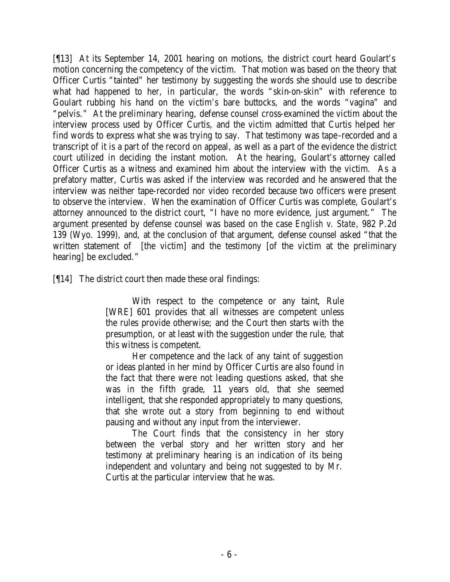[¶13] At its September 14, 2001 hearing on motions, the district court heard Goulart's motion concerning the competency of the victim. That motion was based on the theory that Officer Curtis "tainted" her testimony by suggesting the words she should use to describe what had happened to her, in particular, the words "skin-on-skin" with reference to Goulart rubbing his hand on the victim's bare buttocks, and the words "vagina" and "pelvis." At the preliminary hearing, defense counsel cross-examined the victim about the interview process used by Officer Curtis, and the victim admitted that Curtis helped her find words to express what she was trying to say. That testimony was tape -recorded and a transcript of it is a part of the record on appeal, as well as a part of the evidence the district court utilized in deciding the instant motion. At the hearing, Goulart's attorney called Officer Curtis as a witness and examined him about the interview with the victim. As a prefatory matter, Curtis was asked if the interview was recorded and he answered that the interview was neither tape-recorded nor video recorded because two officers were present to observe the interview. When the examination of Officer Curtis was complete, Goulart's attorney announced to the district court, "I have no more evidence, just argument." The argument presented by defense counsel was based on the case *English v. State*, 982 P.2d 139 (Wyo. 1999), and, at the conclusion of that argument, defense counsel asked "that the written statement of [the victim] and the testimony [of the victim at the preliminary hearing] be excluded."

[¶14] The district court then made these oral findings:

With respect to the competence or any taint, Rule [WRE] 601 provides that all witnesses are competent unless the rules provide otherwise; and the Court then starts with the presumption, or at least with the suggestion under the rule, that this witness is competent.

Her competence and the lack of any taint of suggestion or ideas planted in her mind by Officer Curtis are also found in the fact that there were not leading questions asked, that she was in the fifth grade, 11 years old, that she seemed intelligent, that she responded appropriately to many questions, that she wrote out a story from beginning to end without pausing and without any input from the interviewer.

The Court finds that the consistency in her story between the verbal story and her written story and her testimony at preliminary hearing is an indication of its being independent and voluntary and being not suggested to by Mr. Curtis at the particular interview that he was.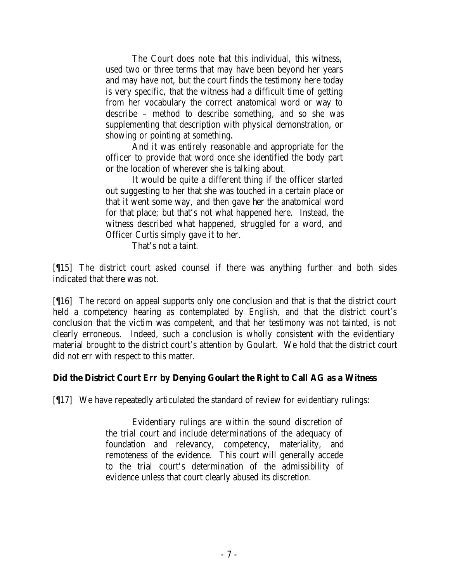The Court does note that this individual, this witness, used two or three terms that may have been beyond her years and may have not, but the court finds the testimony here today is very specific, that the witness had a difficult time of getting from her vocabulary the correct anatomical word or way to describe – method to describe something, and so she was supplementing that description with physical demonstration, or showing or pointing at something.

And it was entirely reasonable and appropriate for the officer to provide that word once she identified the body part or the location of wherever she is talking about.

It would be quite a different thing if the officer started out suggesting to her that she was touched in a certain place or that it went some way, and then gave her the anatomical word for that place; but that's not what happened here. Instead, the witness described what happened, struggled for a word, and Officer Curtis simply gave it to her.

That's not a taint.

[¶15] The district court asked counsel if there was anything further and both sides indicated that there was not.

[¶16] The record on appeal supports only one conclusion and that is that the district court held a competency hearing as contemplated by *English*, and that the district court's conclusion that the victim was competent, and that her testimony was not tainted, is not clearly erroneous. Indeed, such a conclusion is wholly consistent with the evidentiary material brought to the district court's attention by Goulart. We hold that the district court did not err with respect to this matter.

## **Did the District Court Err by Denying Goulart the Right to Call AG as a Witness**

[¶17] We have repeatedly articulated the standard of review for evidentiary rulings:

Evidentiary rulings are within the sound discretion of the trial court and include determinations of the adequacy of foundation and relevancy, competency, materiality, and remoteness of the evidence. This court will generally accede to the trial court's determination of the admissibility of evidence unless that court clearly abused its discretion.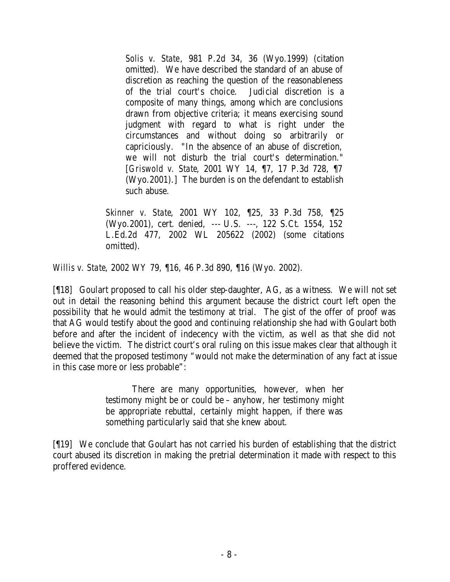*Solis v. State*, 981 P.2d 34, 36 (Wyo.1999) (citation omitted). We have described the standard of an abuse of discretion as reaching the question of the reasonableness of the trial court's choice. Judicial discretion is a composite of many things, among which are conclusions drawn from objective criteria; it means exercising sound judgment with regard to what is right under the circumstances and without doing so arbitrarily or capriciously. "In the absence of an abuse of discretion, we will not disturb the trial court's determination." [*Griswold v. State*, 2001 WY 14, ¶7, 17 P.3d 728, ¶7 (Wyo.2001).] The burden is on the defendant to establish such abuse.

*Skinner v. State*, 2001 WY 102, ¶25, 33 P.3d 758, ¶25 (Wyo.2001), cert. denied, --- U.S. ---, 122 S.Ct. 1554, 152 L.Ed.2d 477, 2002 WL 205622 (2002) (some citations omitted).

*Willis v. State*, 2002 WY 79, ¶16, 46 P.3d 890, ¶16 (Wyo. 2002).

[¶18] Goulart proposed to call his older step-daughter, AG, as a witness. We will not set out in detail the reasoning behind this argument because the district court left open the possibility that he would admit the testimony at trial. The gist of the offer of proof was that AG would testify about the good and continuing relationship she had with Goulart both before and after the incident of indecency with the victim, as well as that she did not believe the victim. The district court's oral ruling on this issue makes clear that although it deemed that the proposed testimony "would not make the determination of any fact at issue in this case more or less probable":

> There are many opportunities, however, when her testimony might be or could be – anyhow, her testimony might be appropriate rebuttal, certainly might happen, if there was something particularly said that she knew about.

[¶19] We conclude that Goulart has not carried his burden of establishing that the district court abused its discretion in making the pretrial determination it made with respect to this proffered evidence.